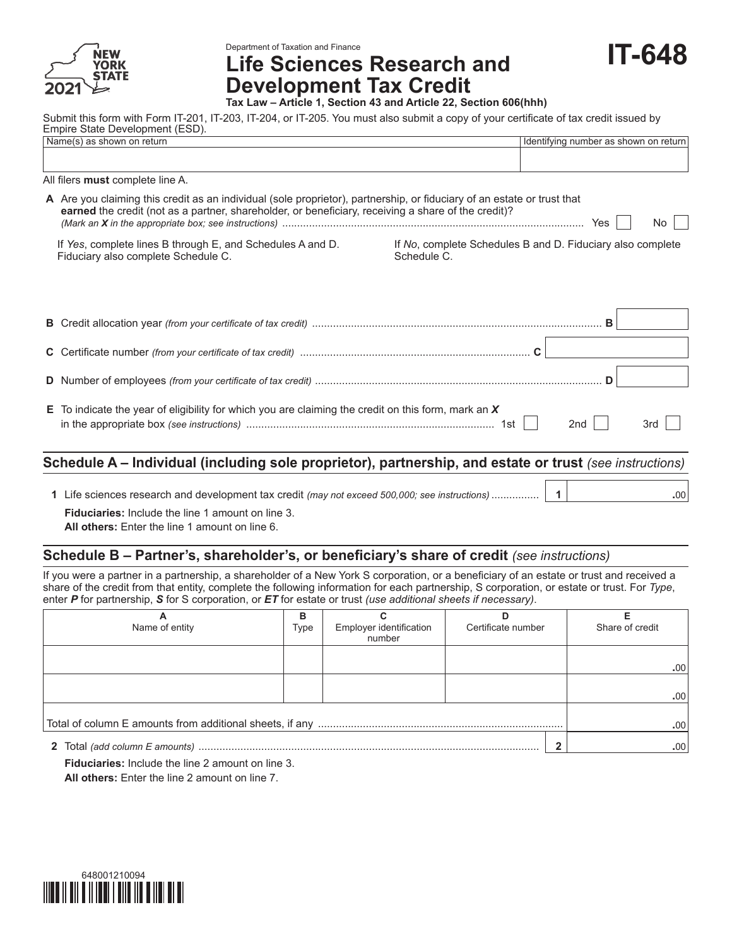

Department of Taxation and Finance

**Life Sciences Research and Development Tax Credit**

**Tax Law – Article 1, Section 43 and Article 22, Section 606(hhh)**

Submit this form with Form IT-201, IT-203, IT-204, or IT-205. You must also submit a copy of your certificate of tax credit issued by Empire State Development (ESD).

|  | Name(s) as shown on return                                                                                                                                                                                                     |            | Identifying number as shown on return |     |  |  |  |
|--|--------------------------------------------------------------------------------------------------------------------------------------------------------------------------------------------------------------------------------|------------|---------------------------------------|-----|--|--|--|
|  |                                                                                                                                                                                                                                |            |                                       |     |  |  |  |
|  |                                                                                                                                                                                                                                |            |                                       |     |  |  |  |
|  | All filers must complete line A.                                                                                                                                                                                               |            |                                       |     |  |  |  |
|  | A Are you claiming this credit as an individual (sole proprietor), partnership, or fiduciary of an estate or trust that<br>earned the credit (not as a partner, shareholder, or beneficiary, receiving a share of the credit)? | Yes<br>No. |                                       |     |  |  |  |
|  | If Yes, complete lines B through E, and Schedules A and D.<br>If No, complete Schedules B and D. Fiduciary also complete<br>Fiduciary also complete Schedule C.<br>Schedule C.                                                 |            |                                       |     |  |  |  |
|  |                                                                                                                                                                                                                                |            |                                       |     |  |  |  |
|  |                                                                                                                                                                                                                                |            | в                                     |     |  |  |  |
|  |                                                                                                                                                                                                                                |            |                                       |     |  |  |  |
|  |                                                                                                                                                                                                                                |            | D                                     |     |  |  |  |
|  | E To indicate the year of eligibility for which you are claiming the credit on this form, mark an $X$                                                                                                                          |            | 2 <sub>nd</sub>                       | 3rd |  |  |  |

## **Schedule A – Individual (including sole proprietor), partnership, and estate or trust** *(see instructions)*

**1** Life sciences research and development tax credit *(may not exceed 500,000; see instructions)* ................ **1 .**00 **Fiduciaries:** Include the line 1 amount on line 3. **All others:** Enter the line 1 amount on line 6.

## **Schedule B – Partner's, shareholder's, or beneficiary's share of credit** *(see instructions)*

If you were a partner in a partnership, a shareholder of a New York S corporation, or a beneficiary of an estate or trust and received a share of the credit from that entity, complete the following information for each partnership, S corporation, or estate or trust. For *Type*, enter *P* for partnership, *S* for S corporation, or *ET* for estate or trust *(use additional sheets if necessary)*.

| Name of entity | в<br>Type | Employer identification<br>number | Certificate number | Share of credit |
|----------------|-----------|-----------------------------------|--------------------|-----------------|
|                |           |                                   |                    | .00.            |
|                |           |                                   |                    | .00             |
|                | .00       |                                   |                    |                 |
|                |           |                                   |                    | .00             |

**Fiduciaries:** Include the line 2 amount on line 3. **All others:** Enter the line 2 amount on line 7.